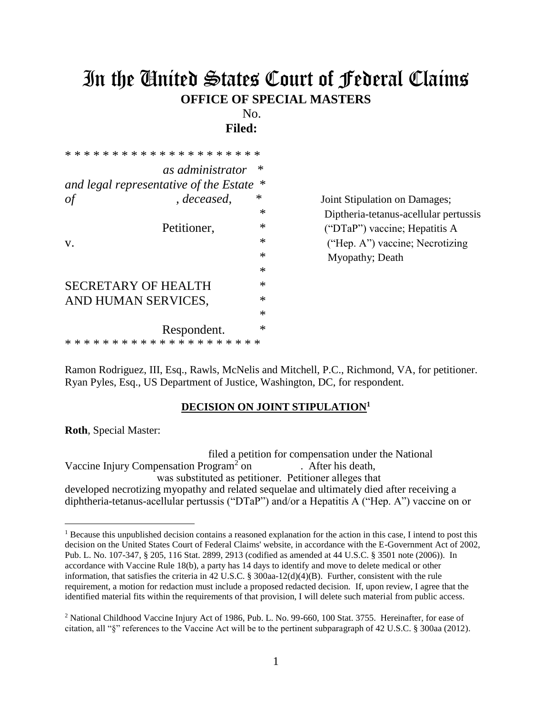# In the United States Court of Federal Claims **OFFICE OF SPECIAL MASTERS**

No.

**Filed:** 

| as administrator                       | $\ast$ |
|----------------------------------------|--------|
| and legal representative of the Estate | $\ast$ |
| , deceased,<br>οf                      | $\ast$ |
|                                        | $\ast$ |
| Petitioner,                            | $\ast$ |
| V.                                     | $\ast$ |
|                                        | $\ast$ |
|                                        | $\ast$ |
| SECRETARY OF HEALTH                    | $\ast$ |
| AND HUMAN SERVICES,                    | $\ast$ |
|                                        | $\ast$ |
| Respondent.                            | $\ast$ |
|                                        |        |

**Joint Stipulation on Damages;**  \* Diptheria-tetanus-acellular pertussis  $("DTaP")$  vaccine; Hepatitis A ("Hep. A") vaccine; Necrotizing Myopathy; Death

Ramon Rodriguez, III, Esq., Rawls, McNelis and Mitchell, P.C., Richmond, VA, for petitioner. Ryan Pyles, Esq., US Department of Justice, Washington, DC, for respondent.

## **DECISION ON JOINT STIPULATION<sup>1</sup>**

**Roth**, Special Master:

 filed a petition for compensation under the National Vaccine Injury Compensation Program<sup>2</sup> on . After his death, was substituted as petitioner. Petitioner alleges that developed necrotizing myopathy and related sequelae and ultimately died after receiving a diphtheria-tetanus-acellular pertussis ("DTaP") and/or a Hepatitis A ("Hep. A") vaccine on or

<sup>&</sup>lt;sup>1</sup> Because this unpublished decision contains a reasoned explanation for the action in this case, I intend to post this decision on the United States Court of Federal Claims' website, in accordance with the E-Government Act of 2002, Pub. L. No. 107-347, § 205, 116 Stat. 2899, 2913 (codified as amended at 44 U.S.C. § 3501 note (2006)). In accordance with Vaccine Rule 18(b), a party has 14 days to identify and move to delete medical or other information, that satisfies the criteria in 42 U.S.C. § 300aa-12(d)(4)(B). Further, consistent with the rule requirement, a motion for redaction must include a proposed redacted decision.If, upon review, I agree that the identified material fits within the requirements of that provision, I will delete such material from public access.

<sup>&</sup>lt;sup>2</sup> National Childhood Vaccine Injury Act of 1986, Pub. L. No. 99-660, 100 Stat. 3755. Hereinafter, for ease of citation, all "§" references to the Vaccine Act will be to the pertinent subparagraph of 42 U.S.C. § 300aa (2012).